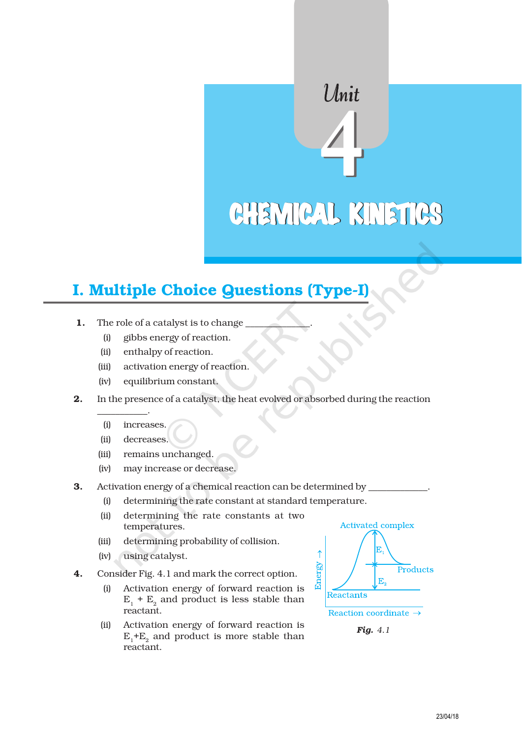# CHEMICAL KINETICS

Unit

## I. Multiple Choice Questions (Type-I)

- 1. The role of a catalyst is to change
	- (i) gibbs energy of reaction.
	- (ii) enthalpy of reaction.
	- (iii) activation energy of reaction.
	- (iv) equilibrium constant.
- 2. In the presence of a catalyst, the heat evolved or absorbed during the reaction
	- (i) increases.

\_\_\_\_\_\_\_\_\_\_\_.

- (ii) decreases.
- (iii) remains unchanged.
- (iv) may increase or decrease.
- 3. Activation energy of a chemical reaction can be determined by
	- (i) determining the rate constant at standard temperature.
	- (ii) determining the rate constants at two temperatures.
	- (iii) determining probability of collision.
	- (iv) using catalyst.
- 4. Consider Fig. 4.1 and mark the correct option.
	- (i) Activation energy of forward reaction is  $E_1 + E_2$  and product is less stable than reactant.
	- (ii) Activation energy of forward reaction is  $\mathrm{E}_1^{\phantom{\dag}}$ + $\mathrm{E}_2^{\phantom{\dag}}$  and product is more stable than reactant.



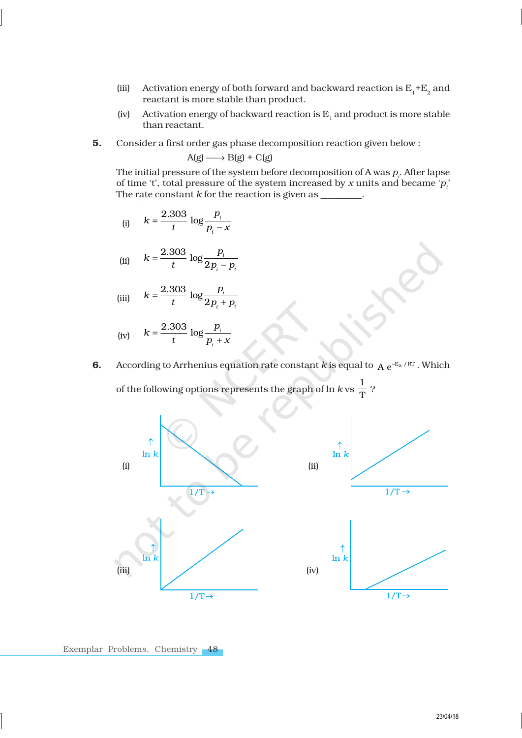- (iii) Activation energy of both forward and backward reaction is  $E_1 + E_2$  and reactant is more stable than product.
- (iv) Activation energy of backward reaction is  $E_1$  and product is more stable than reactant.
- 5. Consider a first order gas phase decomposition reaction given below :

$$
A(g) \longrightarrow B(g) + C(g)
$$

The initial pressure of the system before decomposition of A was  $p_{_{l}}$ . After lapse of time 't', total pressure of the system increased by *x* units and became ' $p_t$ ' The rate constant *k* for the reaction is given as \_

(i) 
$$
k = \frac{2.303}{t} \log \frac{p_i}{p_i - x}
$$

(ii) 
$$
k = \frac{2.303}{t} \log \frac{p_i}{2p_i - p_t}
$$

(iii)  $\frac{2.303}{1}$  log 2 *i*  $i$   $\boldsymbol{r}_t$  $k = \frac{2.303}{1} \log \frac{p}{2}$  $t \qquad ^{\circ}2p_{i}+p$ = +

(iv) 
$$
k = \frac{2.303}{t} \log \frac{p_i}{p_i + x}
$$

6. According to Arrhenius equation rate constant *k* is equal to  $A e^{-E_a/RT}$ . Which

of the following options represents the graph of  $\ln k$  vs  $\frac{1}{T}$  $\overline{\mathrm{T}}$  ?

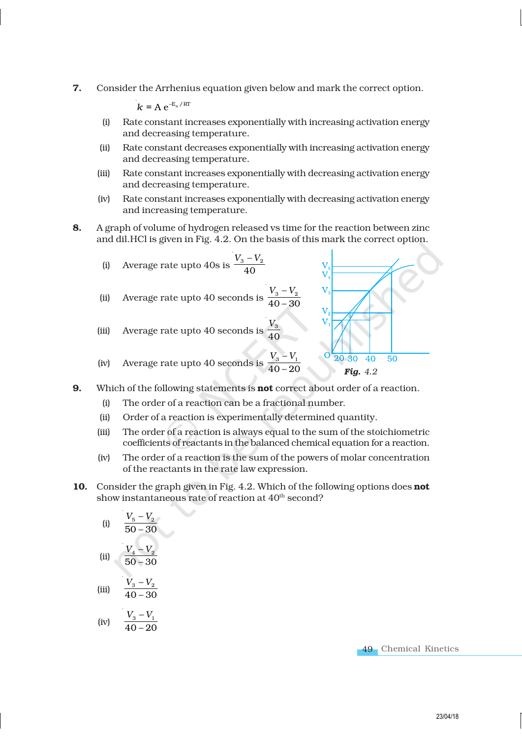7. Consider the Arrhenius equation given below and mark the correct option.

 $k = A e^{-E_a / RT}$ 

- (i) Rate constant increases exponentially with increasing activation energy and decreasing temperature.
- (ii) Rate constant decreases exponentially with increasing activation energy and decreasing temperature.
- (iii) Rate constant increases exponentially with decreasing activation energy and decreasing temperature.
- (iv) Rate constant increases exponentially with decreasing activation energy and increasing temperature.
- 8. A graph of volume of hydrogen released vs time for the reaction between zinc and dil.HCl is given in Fig. 4.2. On the basis of this mark the correct option.



- **9.** Which of the following statements is **not** correct about order of a reaction.
	- (i) The order of a reaction can be a fractional number.
	- (ii) Order of a reaction is experimentally determined quantity.
	- (iii) The order of a reaction is always equal to the sum of the stoichiometric coefficients of reactants in the balanced chemical equation for a reaction.
	- (iv) The order of a reaction is the sum of the powers of molar concentration of the reactants in the rate law expression.
- 10. Consider the graph given in Fig. 4.2. Which of the following options does not show instantaneous rate of reaction at 40<sup>th</sup> second?

(i) 
$$
\frac{V_5 - V_2}{50 - 30}
$$
  
\n(ii) 
$$
\frac{V_4 - V_2}{50 - 30}
$$
  
\n(iii) 
$$
\frac{V_3 - V_2}{40 - 30}
$$

$$
\text{(iv)} \qquad \frac{V_3 - V_1}{40 - 20}
$$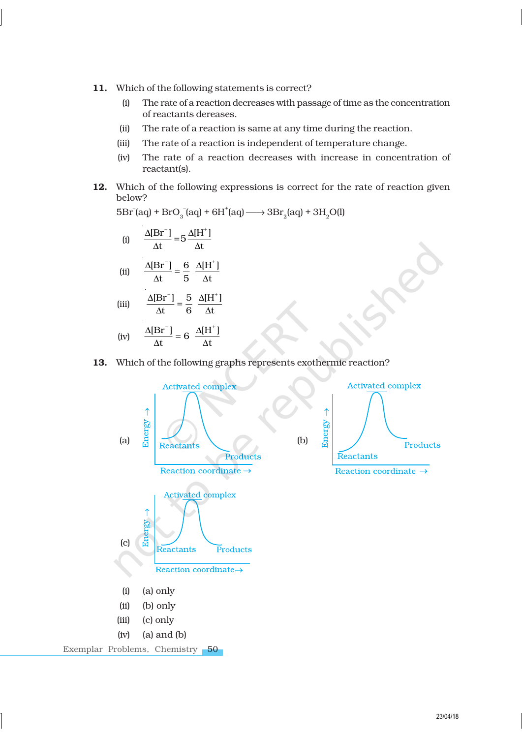- 11. Which of the following statements is correct?
	- (i) The rate of a reaction decreases with passage of time as the concentration of reactants dereases.
	- (ii) The rate of a reaction is same at any time during the reaction.
	- (iii) The rate of a reaction is independent of temperature change.
	- (iv) The rate of a reaction decreases with increase in concentration of reactant(s).
- 12. Which of the following expressions is correct for the rate of reaction given below?

 $5Br$ <sup>-</sup>(aq) +  $BrO_3^-$ (aq) +  $6H^+$ (aq)  $\longrightarrow$   $3Br_2$ (aq) +  $3H_2O(1)$ 

(i) 
$$
\frac{\Delta [Br^-]}{\Delta t} = 5 \frac{\Delta [H^+]}{\Delta t}
$$
  
\n(ii) 
$$
\frac{\Delta [Br^-]}{\Delta t} = \frac{6}{5} \frac{\Delta [H^+]}{\Delta t}
$$
  
\n(iii) 
$$
\frac{\Delta [Br^-]}{\Delta t} = \frac{5}{6} \frac{\Delta [H^+]}{\Delta t}
$$

$$
\Delta t = 6 \quad \Delta t
$$
\n
$$
\Delta Br^{-1} = \Delta H^{+}
$$

$$
\text{(iv)} \qquad \frac{\Delta[\text{Br}^-]}{\Delta t} = 6 \frac{\Delta[\text{H}^+]}{\Delta t}
$$

### 13. Which of the following graphs represents exothermic reaction?

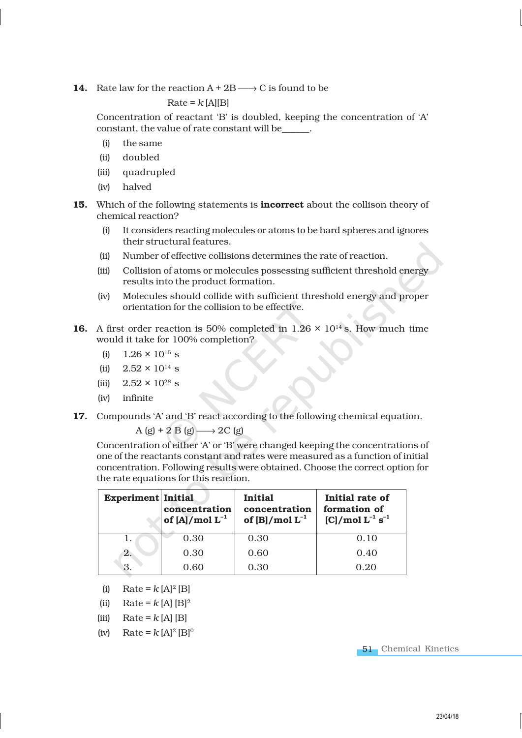14. Rate law for the reaction  $A + 2B \longrightarrow C$  is found to be

### $Rate = k$  [A][B]

Concentration of reactant 'B' is doubled, keeping the concentration of 'A' constant, the value of rate constant will be\_\_\_\_\_\_.

- (i) the same
- (ii) doubled
- (iii) quadrupled
- (iv) halved
- 15. Which of the following statements is **incorrect** about the collison theory of chemical reaction?
	- (i) It considers reacting molecules or atoms to be hard spheres and ignores their structural features.
	- (ii) Number of effective collisions determines the rate of reaction.
	- (iii) Collision of atoms or molecules possessing sufficient threshold energy results into the product formation.
	- (iv) Molecules should collide with sufficient threshold energy and proper orientation for the collision to be effective.
- **16.** A first order reaction is 50% completed in 1.26  $\times$  10<sup>14</sup> s. How much time would it take for 100% completion?
	- (i)  $1.26 \times 10^{15}$  s
	- (ii)  $2.52 \times 10^{14}$  s
	- (iii)  $2.52 \times 10^{28}$  s
	- (iv) infinite
- 17. Compounds 'A' and 'B' react according to the following chemical equation.

$$
A (g) + 2 B (g) \longrightarrow 2C (g)
$$

Concentration of either 'A' or 'B' were changed keeping the concentrations of one of the reactants constant and rates were measured as a function of initial concentration. Following results were obtained. Choose the correct option for the rate equations for this reaction.

| <b>Experiment Initial</b> | concentration<br>of $[A] / \text{mol} L^{-1}$ | <b>Initial</b><br>concentration<br>of [B]/mol $L^{-1}$ | Initial rate of<br>formation of<br>$[C] / \text{mol} L^{-1} s^{-1}$ |
|---------------------------|-----------------------------------------------|--------------------------------------------------------|---------------------------------------------------------------------|
|                           | 0.30                                          | 0.30                                                   | 0.10                                                                |
| 2.                        | 0.30                                          | 0.60                                                   | 0.40                                                                |
| 3.                        | 0.60                                          | 0.30                                                   | 0.20                                                                |

- (i) Rate =  $k [A]^2 [B]$
- (ii) Rate =  $k$  [A] [B]<sup>2</sup>
- (iii) Rate =  $k$  [A] [B]
- $(iv)$  Rate =  $k [A]^2 [B]^0$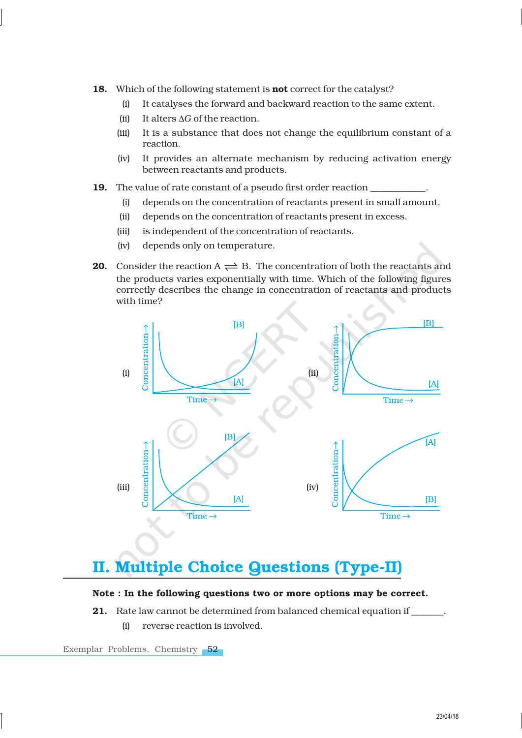- 18. Which of the following statement is **not** correct for the catalyst?
	- (i) It catalyses the forward and backward reaction to the same extent.
	- (ii) It alters ∆*G* of the reaction.
	- (iii) It is a substance that does not change the equilibrium constant of a reaction.
	- (iv) It provides an alternate mechanism by reducing activation energy between reactants and products.
- 19. The value of rate constant of a pseudo first order reaction
	- (i) depends on the concentration of reactants present in small amount.
	- (ii) depends on the concentration of reactants present in excess.
	- (iii) is independent of the concentration of reactants.
	- (iv) depends only on temperature.
- **20.** Consider the reaction  $A \rightleftharpoons B$ . The concentration of both the reactants and the products varies exponentially with time. Which of the following figures correctly describes the change in concentration of reactants and products with time?



### II. Multiple Choice Questions (Type-II)

### Note : In the following questions two or more options may be correct.

21. Rate law cannot be determined from balanced chemical equation if \_\_\_\_\_\_\_. (i) reverse reaction is involved.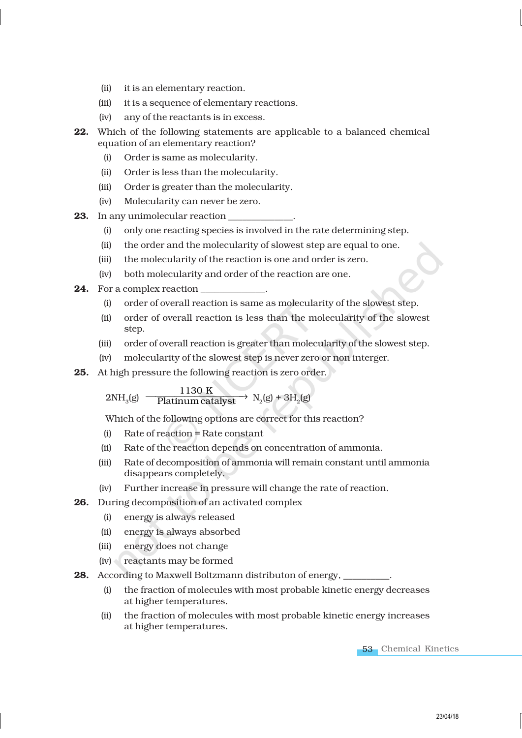- (ii) it is an elementary reaction.
- (iii) it is a sequence of elementary reactions.
- (iv) any of the reactants is in excess.
- 22. Which of the following statements are applicable to a balanced chemical equation of an elementary reaction?
	- (i) Order is same as molecularity.
	- (ii) Order is less than the molecularity.
	- (iii) Order is greater than the molecularity.
	- (iv) Molecularity can never be zero.
- 23. In any unimolecular reaction
	- (i) only one reacting species is involved in the rate determining step.
	- (ii) the order and the molecularity of slowest step are equal to one.
	- (iii) the molecularity of the reaction is one and order is zero.
	- (iv) both molecularity and order of the reaction are one.
- **24.** For a complex reaction
	- (i) order of overall reaction is same as molecularity of the slowest step.
	- (ii) order of overall reaction is less than the molecularity of the slowest step.
	- (iii) order of overall reaction is greater than molecularity of the slowest step.
	- (iv) molecularity of the slowest step is never zero or non interger.
- 25. At high pressure the following reaction is zero order.

 $2NH<sub>2</sub>(g)$ (g)  $\frac{1130 \text{ K}}{\text{Platinum catalyst}}$  N<sub>2</sub>(g) + 3H<sub>2</sub>(g)

Which of the following options are correct for this reaction?

- (i) Rate of reaction = Rate constant
- (ii) Rate of the reaction depends on concentration of ammonia.
- (iii) Rate of decomposition of ammonia will remain constant until ammonia disappears completely.
- (iv) Further increase in pressure will change the rate of reaction.
- 26. During decomposition of an activated complex
	- (i) energy is always released
	- (ii) energy is always absorbed
	- (iii) energy does not change
	- (iv) reactants may be formed
- 28. According to Maxwell Boltzmann distributon of energy,
	- (i) the fraction of molecules with most probable kinetic energy decreases at higher temperatures.
	- (ii) the fraction of molecules with most probable kinetic energy increases at higher temperatures.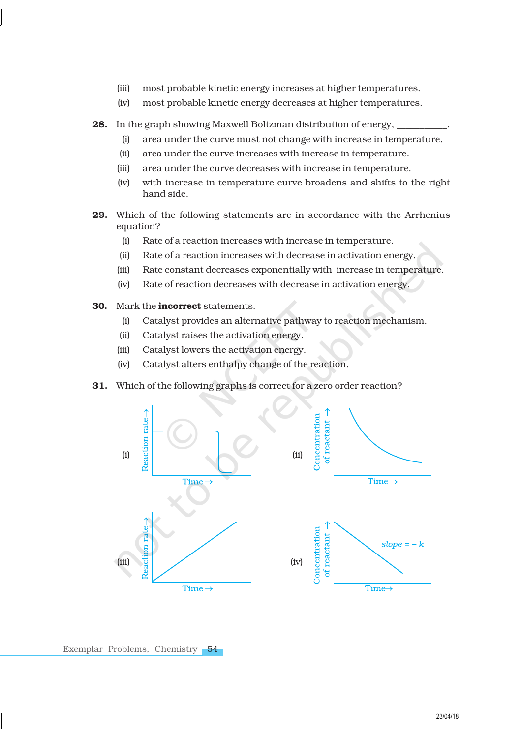- (iii) most probable kinetic energy increases at higher temperatures.
- (iv) most probable kinetic energy decreases at higher temperatures.
- 28. In the graph showing Maxwell Boltzman distribution of energy,
	- (i) area under the curve must not change with increase in temperature.
	- (ii) area under the curve increases with increase in temperature.
	- (iii) area under the curve decreases with increase in temperature.
	- (iv) with increase in temperature curve broadens and shifts to the right hand side.
- 29. Which of the following statements are in accordance with the Arrhenius equation?
	- (i) Rate of a reaction increases with increase in temperature.
	- (ii) Rate of a reaction increases with decrease in activation energy.
	- (iii) Rate constant decreases exponentially with increase in temperature.
	- (iv) Rate of reaction decreases with decrease in activation energy.
- 30. Mark the incorrect statements.
	- (i) Catalyst provides an alternative pathway to reaction mechanism.
	- (ii) Catalyst raises the activation energy.
	- (iii) Catalyst lowers the activation energy.
	- (iv) Catalyst alters enthalpy change of the reaction.
- 31. Which of the following graphs is correct for a zero order reaction?

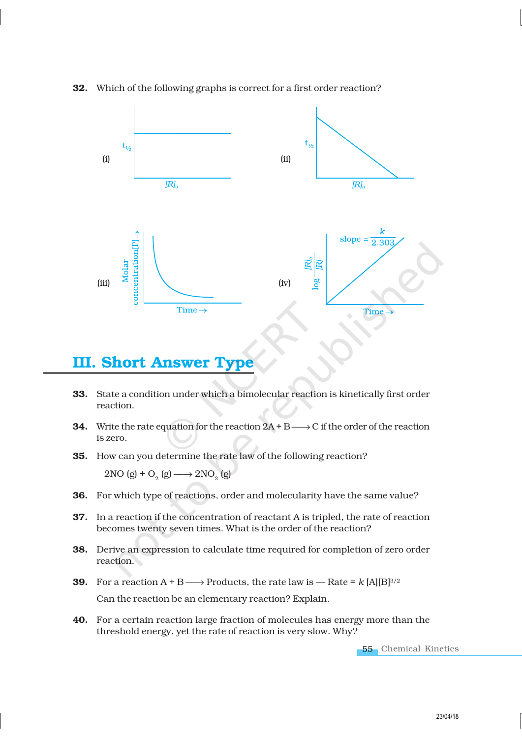

#### 32. Which of the following graphs is correct for a first order reaction?

### **III. Short Answer**

- 33. State a condition under which a bimolecular reaction is kinetically first order reaction.
- **34.** Write the rate equation for the reaction  $2A + B \rightarrow C$  if the order of the reaction is zero.
- 35. How can you determine the rate law of the following reaction?

2NO (g) + O<sub>2</sub> (g)  $\longrightarrow$  2NO<sub>2</sub> (g)

- 36. For which type of reactions, order and molecularity have the same value?
- 37. In a reaction if the concentration of reactant A is tripled, the rate of reaction becomes twenty seven times. What is the order of the reaction?
- 38. Derive an expression to calculate time required for completion of zero order reaction.
- **39.** For a reaction  $A + B \longrightarrow$  Products, the rate law is  $\longrightarrow$  Rate =  $k$  [A][B]<sup>3/2</sup> Can the reaction be an elementary reaction? Explain.
- 40. For a certain reaction large fraction of molecules has energy more than the threshold energy, yet the rate of reaction is very slow. Why?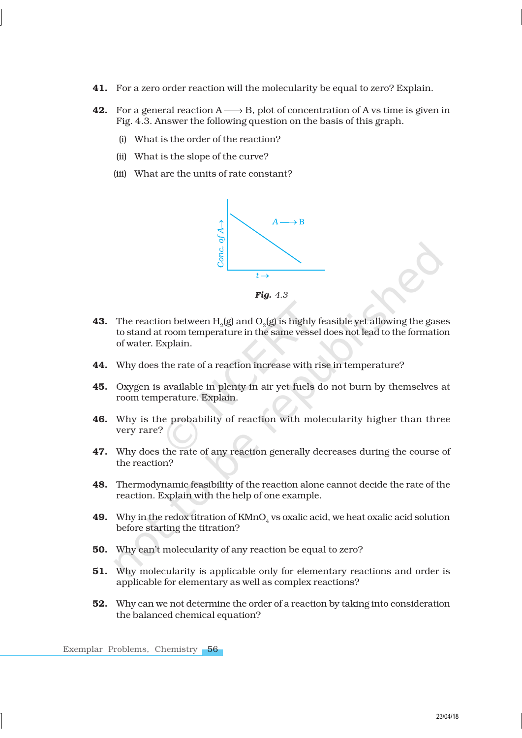- 41. For a zero order reaction will the molecularity be equal to zero? Explain.
- 42. For a general reaction  $A \longrightarrow B$ , plot of concentration of A vs time is given in Fig. 4.3. Answer the following question on the basis of this graph.
	- (i) What is the order of the reaction?
	- (ii) What is the slope of the curve?
	- (iii) What are the units of rate constant?



- **43.** The reaction between  $\text{H}_{\text{2}}(\text{g})$  and  $\text{O}_{\text{2}}(\text{g})$  is highly feasible yet allowing the gases to stand at room temperature in the same vessel does not lead to the formation of water. Explain.
- 44. Why does the rate of a reaction increase with rise in temperature?
- 45. Oxygen is available in plenty in air yet fuels do not burn by themselves at room temperature. Explain.
- 46. Why is the probability of reaction with molecularity higher than three very rare?
- 47. Why does the rate of any reaction generally decreases during the course of the reaction?
- 48. Thermodynamic feasibility of the reaction alone cannot decide the rate of the reaction. Explain with the help of one example.
- **49.** Why in the redox titration of  $K\text{MnO}_4$  vs oxalic acid, we heat oxalic acid solution before starting the titration?
- 50. Why can't molecularity of any reaction be equal to zero?
- 51. Why molecularity is applicable only for elementary reactions and order is applicable for elementary as well as complex reactions?
- 52. Why can we not determine the order of a reaction by taking into consideration the balanced chemical equation?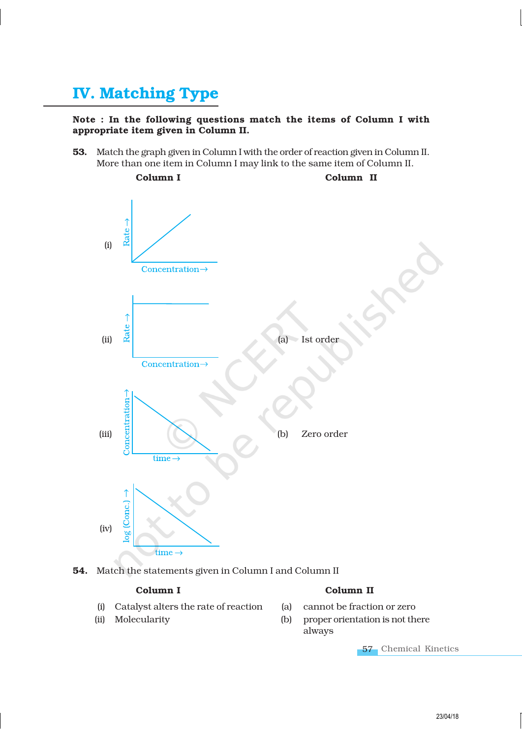### IV. Matching Type

### Note : In the following questions match the items of Column I with appropriate item given in Column II.

53. Match the graph given in Column I with the order of reaction given in Column II. More than one item in Column I may link to the same item of Column II.



54. Match the statements given in Column I and Column II

- (i) Catalyst alters the rate of reaction (a) cannot be fraction or zero
- 

### Column I Column II

- 
- (ii) Molecularity (b) proper orientation is not there always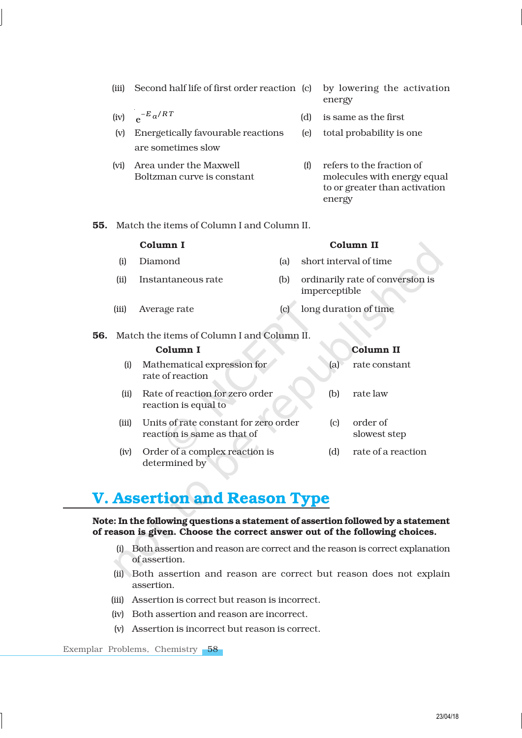- (iii) Second half life of first order reaction (c) by lowering the activation
- (iv)  $e^{-E_a/RT}$
- (v) Energetically favourable reactions (e) total probability is one are sometimes slow
- (vi) Area under the Maxwell (f) refers to the fraction of
- energy
- e (d) is same as the first
	-
	- Boltzman curve is constant molecules with energy equal to or greater than activation energy
- 55. Match the items of Column I and Column II.

|     | Column I |                                                 |     | Column II                                         |  |  |
|-----|----------|-------------------------------------------------|-----|---------------------------------------------------|--|--|
|     | (i)      | Diamond                                         | (a) | short interval of time                            |  |  |
|     | (ii)     | Instantaneous rate                              | (b) | ordinarily rate of conversion is<br>imperceptible |  |  |
|     | (iii)    | Average rate                                    | (c) | long duration of time                             |  |  |
| 56. |          | Match the items of Column I and Column II.      |     |                                                   |  |  |
|     | Column I |                                                 |     | <b>Column II</b>                                  |  |  |
|     | (i)      | Mathematical expression for<br>rate of reaction |     | (a)<br>rate constant                              |  |  |
|     | (ii)     | Rate of reaction for zero order                 |     | rate law<br>(b)                                   |  |  |

- reaction is equal to (iii) Units of rate constant for zero order (c) order of reaction is same as that of slowest step
- (iv) Order of a complex reaction is (d) rate of a reaction determined by

### V. Assertion and Reason Type

#### Note: In the following questions a statement of assertion followed by a statement of reason is given. Choose the correct answer out of the following choices.

- (i) Both assertion and reason are correct and the reason is correct explanation of assertion.
- (ii) Both assertion and reason are correct but reason does not explain assertion.
- (iii) Assertion is correct but reason is incorrect.
- (iv) Both assertion and reason are incorrect.
- (v) Assertion is incorrect but reason is correct.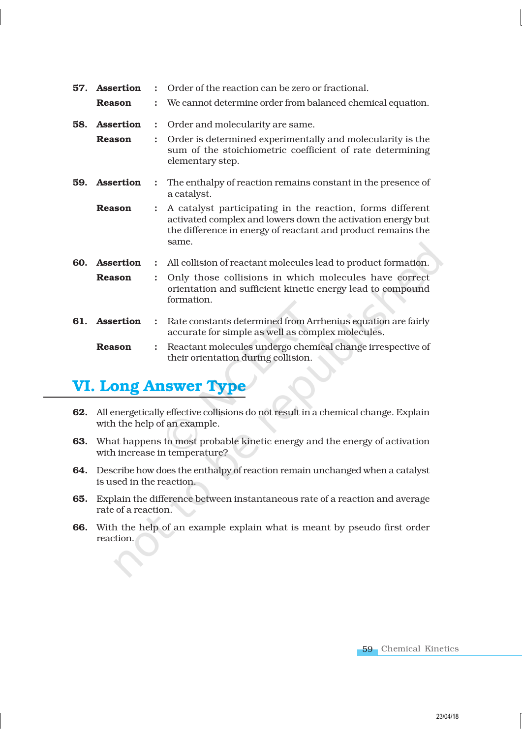| 57. | <b>Assertion</b><br><b>Reason</b> |                      | Order of the reaction can be zero or fractional.<br>We cannot determine order from balanced chemical equation.                                                                                    |
|-----|-----------------------------------|----------------------|---------------------------------------------------------------------------------------------------------------------------------------------------------------------------------------------------|
| 58. | <b>Assertion</b>                  | $\ddot{\cdot}$       | Order and molecularity are same.                                                                                                                                                                  |
|     | <b>Reason</b>                     | $\ddot{\cdot}$       | Order is determined experimentally and molecularity is the<br>sum of the stoichiometric coefficient of rate determining<br>elementary step.                                                       |
| 59. | <b>Assertion</b>                  | $\ddot{\cdot}$       | The enthalpy of reaction remains constant in the presence of<br>a catalyst.                                                                                                                       |
|     | <b>Reason</b>                     | $\ddot{\cdot}$       | A catalyst participating in the reaction, forms different<br>activated complex and lowers down the activation energy but<br>the difference in energy of reactant and product remains the<br>same. |
| 60. | <b>Assertion</b>                  | $\ddot{\phantom{a}}$ | All collision of reactant molecules lead to product formation.                                                                                                                                    |
|     | <b>Reason</b>                     | $\ddot{\cdot}$       | Only those collisions in which molecules have correct<br>orientation and sufficient kinetic energy lead to compound<br>formation.                                                                 |
| 61. | <b>Assertion</b>                  | $\ddot{\phantom{a}}$ | Rate constants determined from Arrhenius equation are fairly<br>accurate for simple as well as complex molecules.                                                                                 |
|     | <b>Reason</b>                     |                      | Reactant molecules undergo chemical change irrespective of<br>their orientation during collision.                                                                                                 |

### VI. Long Answer Type

- 62. All energetically effective collisions do not result in a chemical change. Explain with the help of an example.
- 63. What happens to most probable kinetic energy and the energy of activation with increase in temperature?
- 64. Describe how does the enthalpy of reaction remain unchanged when a catalyst is used in the reaction.
- 65. Explain the difference between instantaneous rate of a reaction and average rate of a reaction.
- 66. With the help of an example explain what is meant by pseudo first order reaction.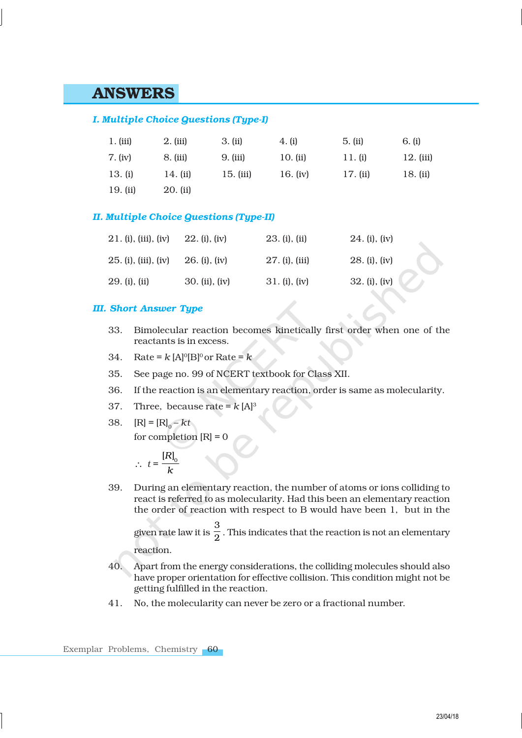### ANSWERS

### *I. Multiple Choice Questions (Type-I)*

| $1.$ (iii) | $2.$ (iii) | 3. (ii)   | 4. (i)     | 5. (ii)  | 6. (i)      |
|------------|------------|-----------|------------|----------|-------------|
| 7. (iv)    | 8. (iii)   | 9. (iii)  | $10.$ (ii) | 11. (i)  | $12.$ (iii) |
| 13. (i)    | 14. (ii)   | 15. (iii) | 16. $(iv)$ | 17. (ii) | 18. (ii)    |
| 19. (ii)   | 20. (ii)   |           |            |          |             |

#### *II. Multiple Choice Questions (Type-II)*

| 21. (i), (iii), (iv) | 22. (i), (iv)  | 23. (i), (ii)  | $24.$ (i), (iv) |
|----------------------|----------------|----------------|-----------------|
| 25. (i), (iii), (iv) | 26. (i), (iv)  | 27. (i), (iii) | 28. (i), (iv)   |
| 29. (i), (ii)        | 30. (ii), (iv) | 31. (i), (iv)  | 32. (i), (iv)   |

#### *III. Short Answer Type*

- 33. Bimolecular reaction becomes kinetically first order when one of the reactants is in excess.
- 34. Rate =  $k$  [A]<sup>o</sup>[B]<sup>o</sup> or Rate =  $k$
- 35. See page no. 99 of NCERT textbook for Class XII.
- 36. If the reaction is an elementary reaction, order is same as molecularity.
- 37. Three, because rate =  $k [A]$ <sup>3</sup>
- 38.  $[R] = [R]_0 kt$ for completion  $[R] = 0$

$$
\therefore t = \frac{[R]_0}{k}
$$

39. During an elementary reaction, the number of atoms or ions colliding to react is referred to as molecularity. Had this been an elementary reaction the order of reaction with respect to B would have been 1, but in the given rate law it is 3  $\frac{1}{2}$  . This indicates that the reaction is not an elementary

reaction.

- 40. Apart from the energy considerations, the colliding molecules should also have proper orientation for effective collision. This condition might not be getting fulfilled in the reaction.
- 41. No, the molecularity can never be zero or a fractional number.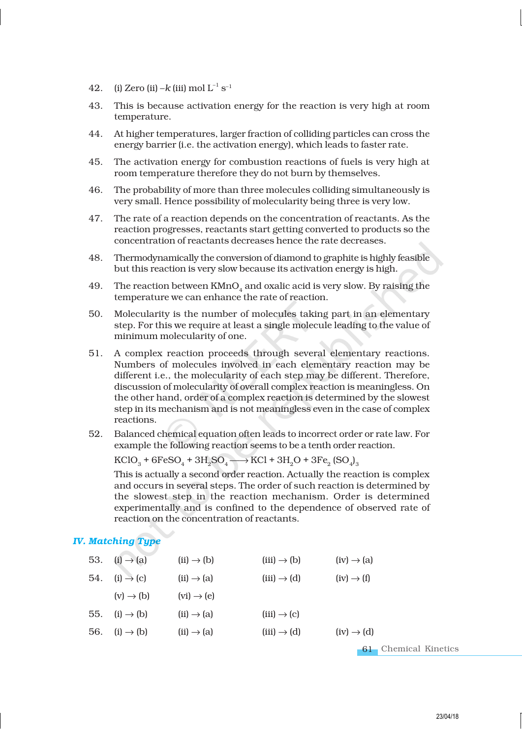- 42. (i) Zero (ii) – $k$  (iii) mol  $L^{-1}$  s<sup>-1</sup>
- 43. This is because activation energy for the reaction is very high at room temperature.
- 44. At higher temperatures, larger fraction of colliding particles can cross the energy barrier (i.e. the activation energy), which leads to faster rate.
- 45. The activation energy for combustion reactions of fuels is very high at room temperature therefore they do not burn by themselves.
- 46. The probability of more than three molecules colliding simultaneously is very small. Hence possibility of molecularity being three is very low.
- 47. The rate of a reaction depends on the concentration of reactants. As the reaction progresses, reactants start getting converted to products so the concentration of reactants decreases hence the rate decreases.
- 48. Thermodynamically the conversion of diamond to graphite is highly feasible but this reaction is very slow because its activation energy is high.
- 49. The reaction between  $\text{KMnO}_4$  and oxalic acid is very slow. By raising the temperature we can enhance the rate of reaction.
- 50. Molecularity is the number of molecules taking part in an elementary step. For this we require at least a single molecule leading to the value of minimum molecularity of one.
- 51. A complex reaction proceeds through several elementary reactions. Numbers of molecules involved in each elementary reaction may be different i.e., the molecularity of each step may be different. Therefore, discussion of molecularity of overall complex reaction is meaningless. On the other hand, order of a complex reaction is determined by the slowest step in its mechanism and is not meaningless even in the case of complex reactions.
- 52. Balanced chemical equation often leads to incorrect order or rate law. For example the following reaction seems to be a tenth order reaction.

 $\text{KClO}_3 + 6\text{FeSO}_4 + 3\text{H}_2\text{SO}_4 \longrightarrow \text{KCl} + 3\text{H}_2\text{O} + 3\text{Fe}_2 \text{ (SO}_4)_3$ 

This is actually a second order reaction. Actually the reaction is complex and occurs in several steps. The order of such reaction is determined by the slowest step in the reaction mechanism. Order is determined experimentally and is confined to the dependence of observed rate of reaction on the concentration of reactants.

### *IV. Matching Type*

| 53. (i) $\rightarrow$ (a) | $(ii) \rightarrow (b)$ | $(iii) \rightarrow (b)$ | $(iv) \rightarrow (a)$ |
|---------------------------|------------------------|-------------------------|------------------------|
| 54. (i) $\rightarrow$ (c) | $(ii) \rightarrow (a)$ | $(iii) \rightarrow (d)$ | $(iv) \rightarrow (f)$ |
| $(v) \rightarrow (b)$     | $(vi) \rightarrow (e)$ |                         |                        |
| 55. (i) $\rightarrow$ (b) | $(ii) \rightarrow (a)$ | $(iii) \rightarrow (c)$ |                        |
| 56. (i) $\rightarrow$ (b) | $(ii) \rightarrow (a)$ | $(iii) \rightarrow (d)$ | $(iv) \rightarrow (d)$ |
|                           |                        |                         |                        |